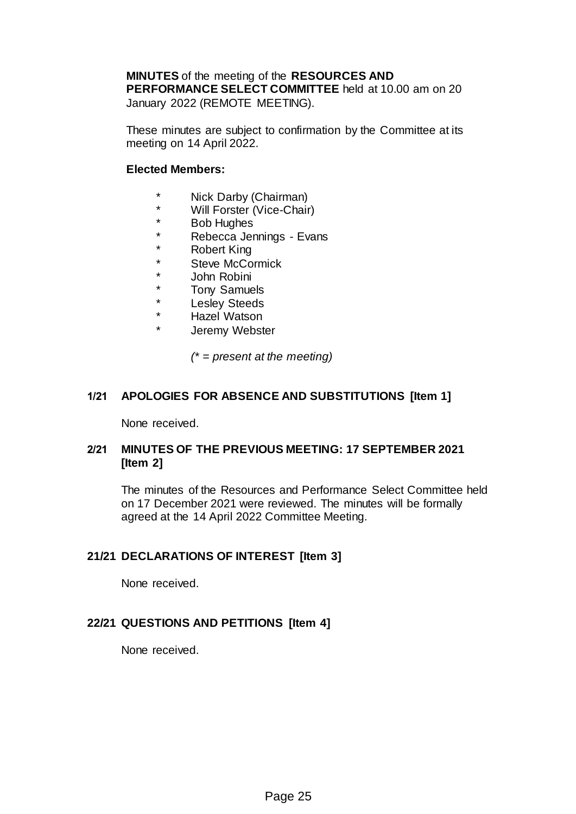**MINUTES** of the meeting of the **RESOURCES AND PERFORMANCE SELECT COMMITTEE** held at 10.00 am on 20 January 2022 (REMOTE MEETING).

These minutes are subject to confirmation by the Committee at its meeting on 14 April 2022.

### **Elected Members:**

- \* Nick Darby (Chairman)
- \* Will Forster (Vice-Chair)
- **Bob Hughes**
- \* Rebecca Jennings Evans
- \* Robert King
- \* Steve McCormick
- \* John Robini
- \* Tony Samuels
- \* Lesley Steeds
- \* Hazel Watson
- Jeremy Webster

*(\* = present at the meeting)*

### **1/21 APOLOGIES FOR ABSENCE AND SUBSTITUTIONS [Item 1]**

None received.

# **2/21 MINUTES OF THE PREVIOUS MEETING: 17 SEPTEMBER 2021 [Item 2]**

The minutes of the Resources and Performance Select Committee held on 17 December 2021 were reviewed. The minutes will be formally agreed at the 14 April 2022 Committee Meeting.

### **21/21 DECLARATIONS OF INTEREST [Item 3]**

None received.

### **22/21 QUESTIONS AND PETITIONS [Item 4]**

None received.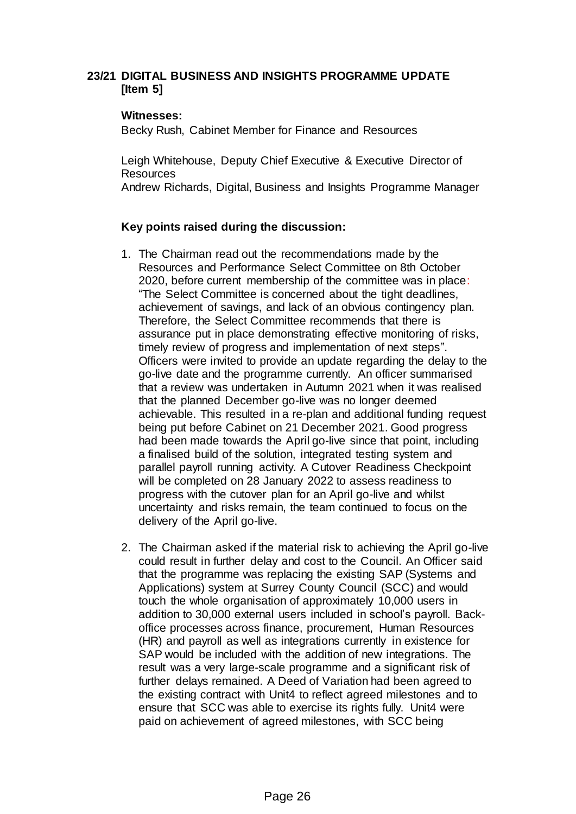### **23/21 DIGITAL BUSINESS AND INSIGHTS PROGRAMME UPDATE [Item 5]**

#### **Witnesses:**

Becky Rush, Cabinet Member for Finance and Resources

Leigh Whitehouse, Deputy Chief Executive & Executive Director of **Resources** 

Andrew Richards, Digital, Business and Insights Programme Manager

# **Key points raised during the discussion:**

- 1. The Chairman read out the recommendations made by the Resources and Performance Select Committee on 8th October 2020, before current membership of the committee was in place: "The Select Committee is concerned about the tight deadlines, achievement of savings, and lack of an obvious contingency plan. Therefore, the Select Committee recommends that there is assurance put in place demonstrating effective monitoring of risks, timely review of progress and implementation of next steps". Officers were invited to provide an update regarding the delay to the go-live date and the programme currently. An officer summarised that a review was undertaken in Autumn 2021 when it was realised that the planned December go-live was no longer deemed achievable. This resulted in a re-plan and additional funding request being put before Cabinet on 21 December 2021. Good progress had been made towards the April go-live since that point, including a finalised build of the solution, integrated testing system and parallel payroll running activity. A Cutover Readiness Checkpoint will be completed on 28 January 2022 to assess readiness to progress with the cutover plan for an April go-live and whilst uncertainty and risks remain, the team continued to focus on the delivery of the April go-live.
- 2. The Chairman asked if the material risk to achieving the April go-live could result in further delay and cost to the Council. An Officer said that the programme was replacing the existing SAP (Systems and Applications) system at Surrey County Council (SCC) and would touch the whole organisation of approximately 10,000 users in addition to 30,000 external users included in school's payroll. Backoffice processes across finance, procurement, Human Resources (HR) and payroll as well as integrations currently in existence for SAP would be included with the addition of new integrations. The result was a very large-scale programme and a significant risk of further delays remained. A Deed of Variation had been agreed to the existing contract with Unit4 to reflect agreed milestones and to ensure that SCC was able to exercise its rights fully. Unit4 were paid on achievement of agreed milestones, with SCC being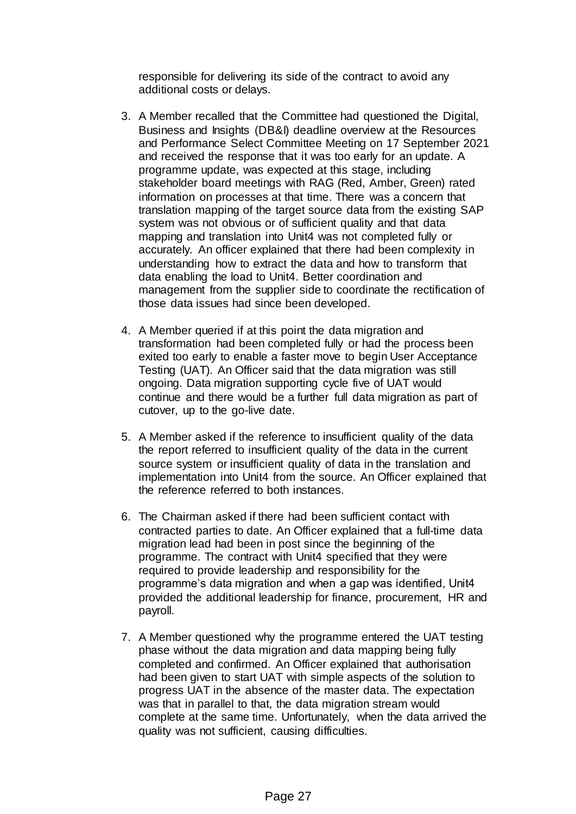responsible for delivering its side of the contract to avoid any additional costs or delays.

- 3. A Member recalled that the Committee had questioned the Digital, Business and Insights (DB&I) deadline overview at the Resources and Performance Select Committee Meeting on 17 September 2021 and received the response that it was too early for an update. A programme update, was expected at this stage, including stakeholder board meetings with RAG (Red, Amber, Green) rated information on processes at that time. There was a concern that translation mapping of the target source data from the existing SAP system was not obvious or of sufficient quality and that data mapping and translation into Unit4 was not completed fully or accurately. An officer explained that there had been complexity in understanding how to extract the data and how to transform that data enabling the load to Unit4. Better coordination and management from the supplier side to coordinate the rectification of those data issues had since been developed.
- 4. A Member queried if at this point the data migration and transformation had been completed fully or had the process been exited too early to enable a faster move to begin User Acceptance Testing (UAT). An Officer said that the data migration was still ongoing. Data migration supporting cycle five of UAT would continue and there would be a further full data migration as part of cutover, up to the go-live date.
- 5. A Member asked if the reference to insufficient quality of the data the report referred to insufficient quality of the data in the current source system or insufficient quality of data in the translation and implementation into Unit4 from the source. An Officer explained that the reference referred to both instances.
- 6. The Chairman asked if there had been sufficient contact with contracted parties to date. An Officer explained that a full-time data migration lead had been in post since the beginning of the programme. The contract with Unit4 specified that they were required to provide leadership and responsibility for the programme's data migration and when a gap was identified, Unit4 provided the additional leadership for finance, procurement, HR and payroll.
- 7. A Member questioned why the programme entered the UAT testing phase without the data migration and data mapping being fully completed and confirmed. An Officer explained that authorisation had been given to start UAT with simple aspects of the solution to progress UAT in the absence of the master data. The expectation was that in parallel to that, the data migration stream would complete at the same time. Unfortunately, when the data arrived the quality was not sufficient, causing difficulties.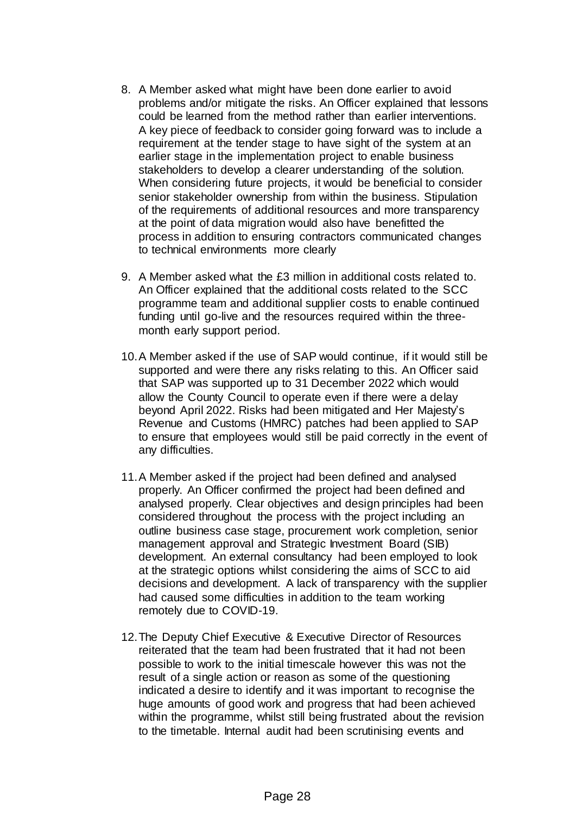- 8. A Member asked what might have been done earlier to avoid problems and/or mitigate the risks. An Officer explained that lessons could be learned from the method rather than earlier interventions. A key piece of feedback to consider going forward was to include a requirement at the tender stage to have sight of the system at an earlier stage in the implementation project to enable business stakeholders to develop a clearer understanding of the solution. When considering future projects, it would be beneficial to consider senior stakeholder ownership from within the business. Stipulation of the requirements of additional resources and more transparency at the point of data migration would also have benefitted the process in addition to ensuring contractors communicated changes to technical environments more clearly
- 9. A Member asked what the £3 million in additional costs related to. An Officer explained that the additional costs related to the SCC programme team and additional supplier costs to enable continued funding until go-live and the resources required within the threemonth early support period.
- 10.A Member asked if the use of SAP would continue, if it would still be supported and were there any risks relating to this. An Officer said that SAP was supported up to 31 December 2022 which would allow the County Council to operate even if there were a delay beyond April 2022. Risks had been mitigated and Her Majesty's Revenue and Customs (HMRC) patches had been applied to SAP to ensure that employees would still be paid correctly in the event of any difficulties.
- 11.A Member asked if the project had been defined and analysed properly. An Officer confirmed the project had been defined and analysed properly. Clear objectives and design principles had been considered throughout the process with the project including an outline business case stage, procurement work completion, senior management approval and Strategic Investment Board (SIB) development. An external consultancy had been employed to look at the strategic options whilst considering the aims of SCC to aid decisions and development. A lack of transparency with the supplier had caused some difficulties in addition to the team working remotely due to COVID-19.
- 12.The Deputy Chief Executive & Executive Director of Resources reiterated that the team had been frustrated that it had not been possible to work to the initial timescale however this was not the result of a single action or reason as some of the questioning indicated a desire to identify and it was important to recognise the huge amounts of good work and progress that had been achieved within the programme, whilst still being frustrated about the revision to the timetable. Internal audit had been scrutinising events and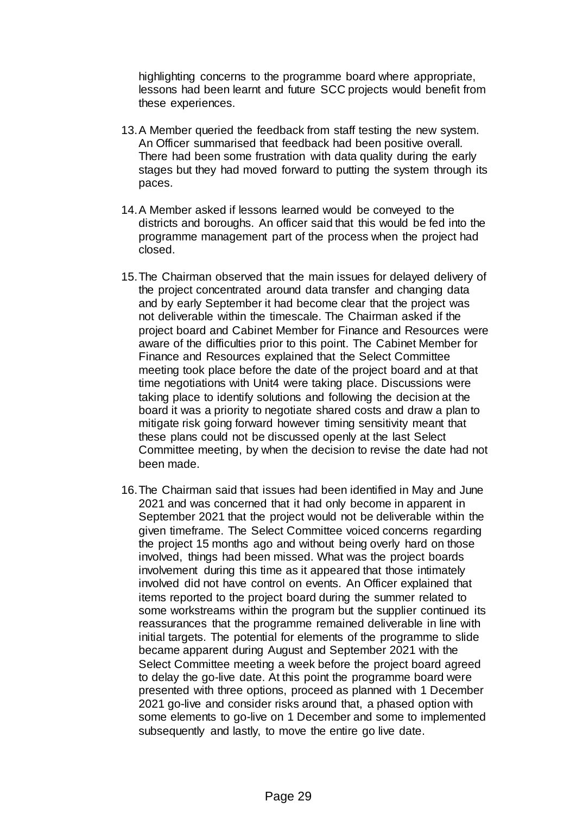highlighting concerns to the programme board where appropriate, lessons had been learnt and future SCC projects would benefit from these experiences.

- 13.A Member queried the feedback from staff testing the new system. An Officer summarised that feedback had been positive overall. There had been some frustration with data quality during the early stages but they had moved forward to putting the system through its paces.
- 14.A Member asked if lessons learned would be conveyed to the districts and boroughs. An officer said that this would be fed into the programme management part of the process when the project had closed.
- 15.The Chairman observed that the main issues for delayed delivery of the project concentrated around data transfer and changing data and by early September it had become clear that the project was not deliverable within the timescale. The Chairman asked if the project board and Cabinet Member for Finance and Resources were aware of the difficulties prior to this point. The Cabinet Member for Finance and Resources explained that the Select Committee meeting took place before the date of the project board and at that time negotiations with Unit4 were taking place. Discussions were taking place to identify solutions and following the decision at the board it was a priority to negotiate shared costs and draw a plan to mitigate risk going forward however timing sensitivity meant that these plans could not be discussed openly at the last Select Committee meeting, by when the decision to revise the date had not been made.
- 16.The Chairman said that issues had been identified in May and June 2021 and was concerned that it had only become in apparent in September 2021 that the project would not be deliverable within the given timeframe. The Select Committee voiced concerns regarding the project 15 months ago and without being overly hard on those involved, things had been missed. What was the project boards involvement during this time as it appeared that those intimately involved did not have control on events. An Officer explained that items reported to the project board during the summer related to some workstreams within the program but the supplier continued its reassurances that the programme remained deliverable in line with initial targets. The potential for elements of the programme to slide became apparent during August and September 2021 with the Select Committee meeting a week before the project board agreed to delay the go-live date. At this point the programme board were presented with three options, proceed as planned with 1 December 2021 go-live and consider risks around that, a phased option with some elements to go-live on 1 December and some to implemented subsequently and lastly, to move the entire go live date.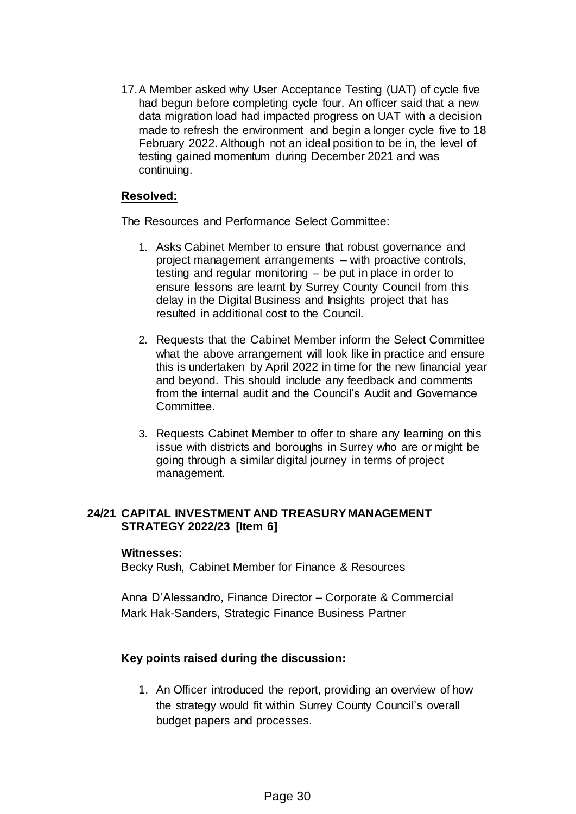17.A Member asked why User Acceptance Testing (UAT) of cycle five had begun before completing cycle four. An officer said that a new data migration load had impacted progress on UAT with a decision made to refresh the environment and begin a longer cycle five to 18 February 2022. Although not an ideal position to be in, the level of testing gained momentum during December 2021 and was continuing.

### **Resolved:**

The Resources and Performance Select Committee:

- 1. Asks Cabinet Member to ensure that robust governance and project management arrangements – with proactive controls, testing and regular monitoring – be put in place in order to ensure lessons are learnt by Surrey County Council from this delay in the Digital Business and Insights project that has resulted in additional cost to the Council.
- 2. Requests that the Cabinet Member inform the Select Committee what the above arrangement will look like in practice and ensure this is undertaken by April 2022 in time for the new financial year and beyond. This should include any feedback and comments from the internal audit and the Council's Audit and Governance Committee.
- 3. Requests Cabinet Member to offer to share any learning on this issue with districts and boroughs in Surrey who are or might be going through a similar digital journey in terms of project management.

### **24/21 CAPITAL INVESTMENT AND TREASURY MANAGEMENT STRATEGY 2022/23 [Item 6]**

#### **Witnesses:**

Becky Rush, Cabinet Member for Finance & Resources

Anna D'Alessandro, Finance Director – Corporate & Commercial Mark Hak-Sanders, Strategic Finance Business Partner

### **Key points raised during the discussion:**

1. An Officer introduced the report, providing an overview of how the strategy would fit within Surrey County Council's overall budget papers and processes.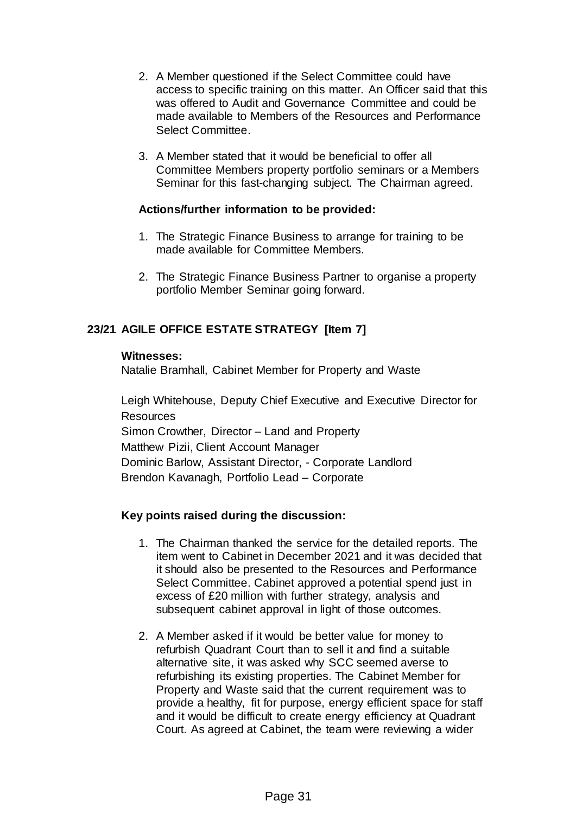- 2. A Member questioned if the Select Committee could have access to specific training on this matter. An Officer said that this was offered to Audit and Governance Committee and could be made available to Members of the Resources and Performance Select Committee.
- 3. A Member stated that it would be beneficial to offer all Committee Members property portfolio seminars or a Members Seminar for this fast-changing subject. The Chairman agreed.

### **Actions/further information to be provided:**

- 1. The Strategic Finance Business to arrange for training to be made available for Committee Members.
- 2. The Strategic Finance Business Partner to organise a property portfolio Member Seminar going forward.

# **23/21 AGILE OFFICE ESTATE STRATEGY [Item 7]**

#### **Witnesses:**

Natalie Bramhall, Cabinet Member for Property and Waste

Leigh Whitehouse, Deputy Chief Executive and Executive Director for **Resources** Simon Crowther, Director – Land and Property Matthew Pizii, Client Account Manager Dominic Barlow, Assistant Director, - Corporate Landlord Brendon Kavanagh, Portfolio Lead – Corporate

### **Key points raised during the discussion:**

- 1. The Chairman thanked the service for the detailed reports. The item went to Cabinet in December 2021 and it was decided that it should also be presented to the Resources and Performance Select Committee. Cabinet approved a potential spend just in excess of £20 million with further strategy, analysis and subsequent cabinet approval in light of those outcomes.
- 2. A Member asked if it would be better value for money to refurbish Quadrant Court than to sell it and find a suitable alternative site, it was asked why SCC seemed averse to refurbishing its existing properties. The Cabinet Member for Property and Waste said that the current requirement was to provide a healthy, fit for purpose, energy efficient space for staff and it would be difficult to create energy efficiency at Quadrant Court. As agreed at Cabinet, the team were reviewing a wider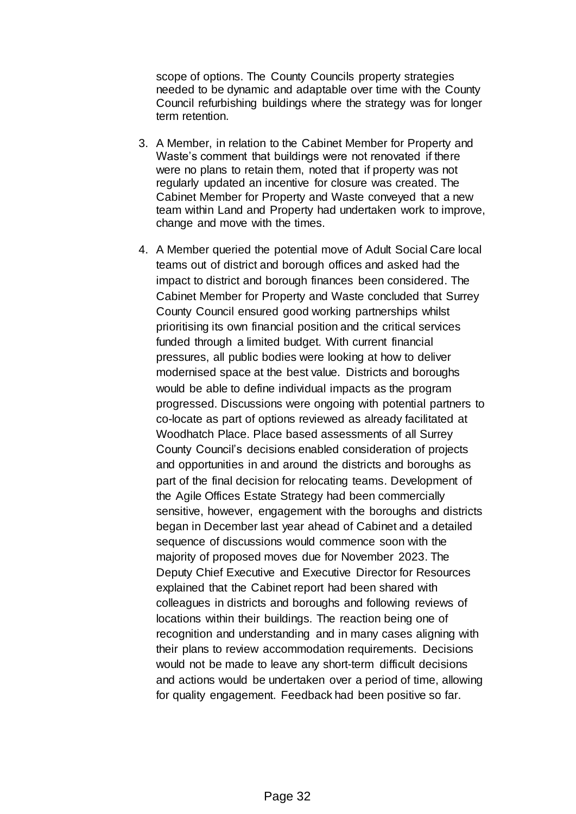scope of options. The County Councils property strategies needed to be dynamic and adaptable over time with the County Council refurbishing buildings where the strategy was for longer term retention.

- 3. A Member, in relation to the Cabinet Member for Property and Waste's comment that buildings were not renovated if there were no plans to retain them, noted that if property was not regularly updated an incentive for closure was created. The Cabinet Member for Property and Waste conveyed that a new team within Land and Property had undertaken work to improve, change and move with the times.
- 4. A Member queried the potential move of Adult Social Care local teams out of district and borough offices and asked had the impact to district and borough finances been considered. The Cabinet Member for Property and Waste concluded that Surrey County Council ensured good working partnerships whilst prioritising its own financial position and the critical services funded through a limited budget. With current financial pressures, all public bodies were looking at how to deliver modernised space at the best value. Districts and boroughs would be able to define individual impacts as the program progressed. Discussions were ongoing with potential partners to co-locate as part of options reviewed as already facilitated at Woodhatch Place. Place based assessments of all Surrey County Council's decisions enabled consideration of projects and opportunities in and around the districts and boroughs as part of the final decision for relocating teams. Development of the Agile Offices Estate Strategy had been commercially sensitive, however, engagement with the boroughs and districts began in December last year ahead of Cabinet and a detailed sequence of discussions would commence soon with the majority of proposed moves due for November 2023. The Deputy Chief Executive and Executive Director for Resources explained that the Cabinet report had been shared with colleagues in districts and boroughs and following reviews of locations within their buildings. The reaction being one of recognition and understanding and in many cases aligning with their plans to review accommodation requirements. Decisions would not be made to leave any short-term difficult decisions and actions would be undertaken over a period of time, allowing for quality engagement. Feedback had been positive so far.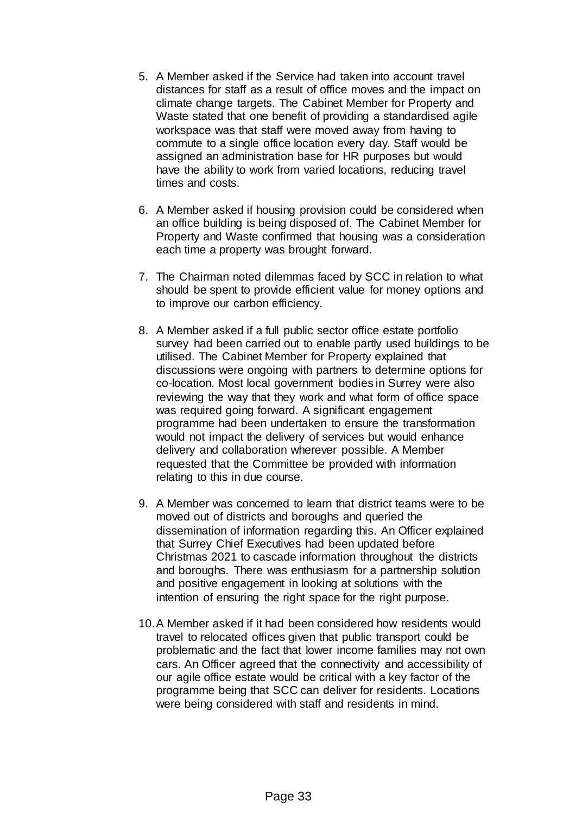- 5. A Member asked if the Service had taken into account travel distances for staff as a result of office moves and the impact on climate change targets. The Cabinet Member for Property and Waste stated that one benefit of providing a standardised agile workspace was that staff were moved away from having to commute to a single office location every day. Staff would be assigned an administration base for HR purposes but would have the ability to work from varied locations, reducing travel times and costs.
- 6. A Member asked if housing provision could be considered when an office building is being disposed of. The Cabinet Member for Property and Waste confirmed that housing was a consideration each time a property was brought forward.
- 7. The Chairman noted dilemmas faced by SCC in relation to what should be spent to provide efficient value for money options and to improve our carbon efficiency.
- 8. A Member asked if a full public sector office estate portfolio survey had been carried out to enable partly used buildings to be utilised. The Cabinet Member for Property explained that discussions were ongoing with partners to determine options for co-location. Most local government bodies in Surrey were also reviewing the way that they work and what form of office space was required going forward. A significant engagement programme had been undertaken to ensure the transformation would not impact the delivery of services but would enhance delivery and collaboration wherever possible. A Member requested that the Committee be provided with information relating to this in due course.
- 9. A Member was concerned to learn that district teams were to be moved out of districts and boroughs and queried the dissemination of information regarding this. An Officer explained that Surrey Chief Executives had been updated before Christmas 2021 to cascade information throughout the districts and boroughs. There was enthusiasm for a partnership solution and positive engagement in looking at solutions with the intention of ensuring the right space for the right purpose.
- 10.A Member asked if it had been considered how residents would travel to relocated offices given that public transport could be problematic and the fact that lower income families may not own cars. An Officer agreed that the connectivity and accessibility of our agile office estate would be critical with a key factor of the programme being that SCC can deliver for residents. Locations were being considered with staff and residents in mind.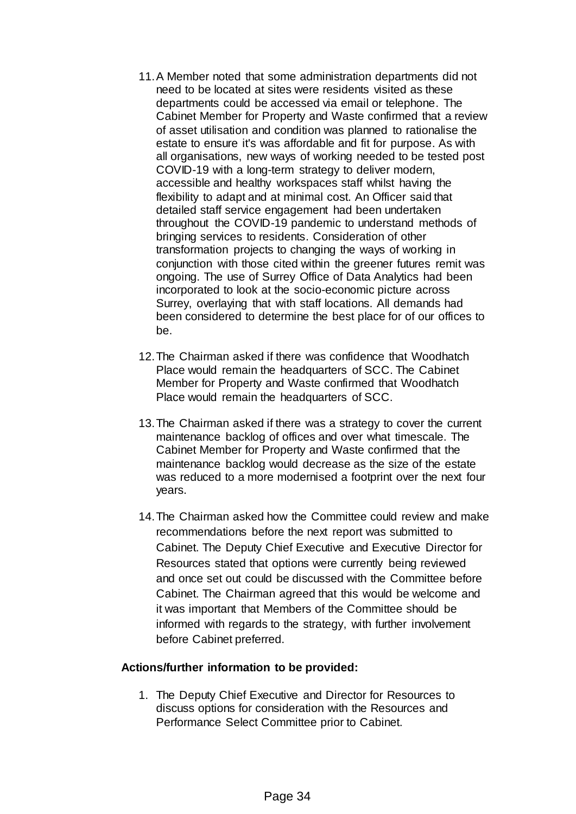- 11.A Member noted that some administration departments did not need to be located at sites were residents visited as these departments could be accessed via email or telephone. The Cabinet Member for Property and Waste confirmed that a review of asset utilisation and condition was planned to rationalise the estate to ensure it's was affordable and fit for purpose. As with all organisations, new ways of working needed to be tested post COVID-19 with a long-term strategy to deliver modern, accessible and healthy workspaces staff whilst having the flexibility to adapt and at minimal cost. An Officer said that detailed staff service engagement had been undertaken throughout the COVID-19 pandemic to understand methods of bringing services to residents. Consideration of other transformation projects to changing the ways of working in conjunction with those cited within the greener futures remit was ongoing. The use of Surrey Office of Data Analytics had been incorporated to look at the socio-economic picture across Surrey, overlaying that with staff locations. All demands had been considered to determine the best place for of our offices to be.
- 12.The Chairman asked if there was confidence that Woodhatch Place would remain the headquarters of SCC. The Cabinet Member for Property and Waste confirmed that Woodhatch Place would remain the headquarters of SCC.
- 13.The Chairman asked if there was a strategy to cover the current maintenance backlog of offices and over what timescale. The Cabinet Member for Property and Waste confirmed that the maintenance backlog would decrease as the size of the estate was reduced to a more modernised a footprint over the next four years.
- 14.The Chairman asked how the Committee could review and make recommendations before the next report was submitted to Cabinet. The Deputy Chief Executive and Executive Director for Resources stated that options were currently being reviewed and once set out could be discussed with the Committee before Cabinet. The Chairman agreed that this would be welcome and it was important that Members of the Committee should be informed with regards to the strategy, with further involvement before Cabinet preferred.

### **Actions/further information to be provided:**

1. The Deputy Chief Executive and Director for Resources to discuss options for consideration with the Resources and Performance Select Committee prior to Cabinet.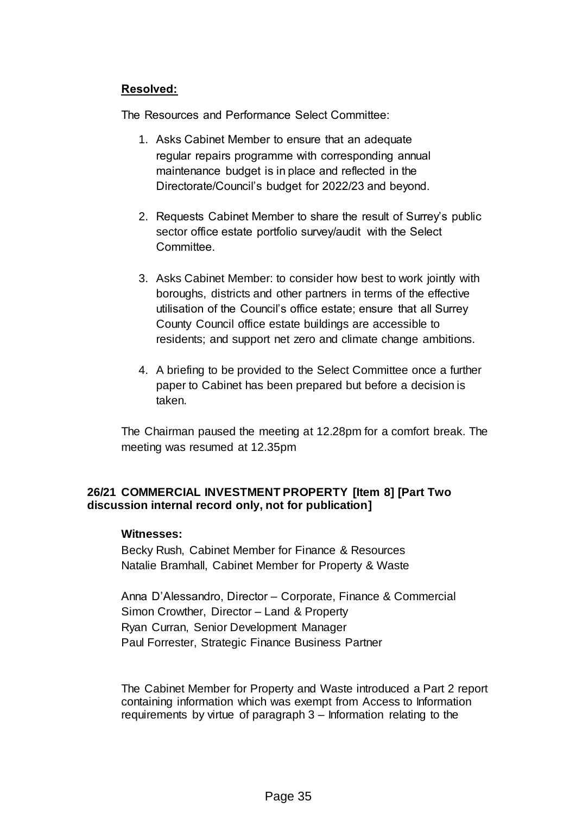# **Resolved:**

The Resources and Performance Select Committee:

- 1. Asks Cabinet Member to ensure that an adequate regular repairs programme with corresponding annual maintenance budget is in place and reflected in the Directorate/Council's budget for 2022/23 and beyond.
- 2. Requests Cabinet Member to share the result of Surrey's public sector office estate portfolio survey/audit with the Select Committee.
- 3. Asks Cabinet Member: to consider how best to work jointly with boroughs, districts and other partners in terms of the effective utilisation of the Council's office estate; ensure that all Surrey County Council office estate buildings are accessible to residents; and support net zero and climate change ambitions.
- 4. A briefing to be provided to the Select Committee once a further paper to Cabinet has been prepared but before a decision is taken.

The Chairman paused the meeting at 12.28pm for a comfort break. The meeting was resumed at 12.35pm

# **26/21 COMMERCIAL INVESTMENT PROPERTY [Item 8] [Part Two discussion internal record only, not for publication]**

### **Witnesses:**

Becky Rush, Cabinet Member for Finance & Resources Natalie Bramhall, Cabinet Member for Property & Waste

Anna D'Alessandro, Director – Corporate, Finance & Commercial Simon Crowther, Director – Land & Property Ryan Curran, Senior Development Manager Paul Forrester, Strategic Finance Business Partner

The Cabinet Member for Property and Waste introduced a Part 2 report containing information which was exempt from Access to Information requirements by virtue of paragraph 3 – Information relating to the